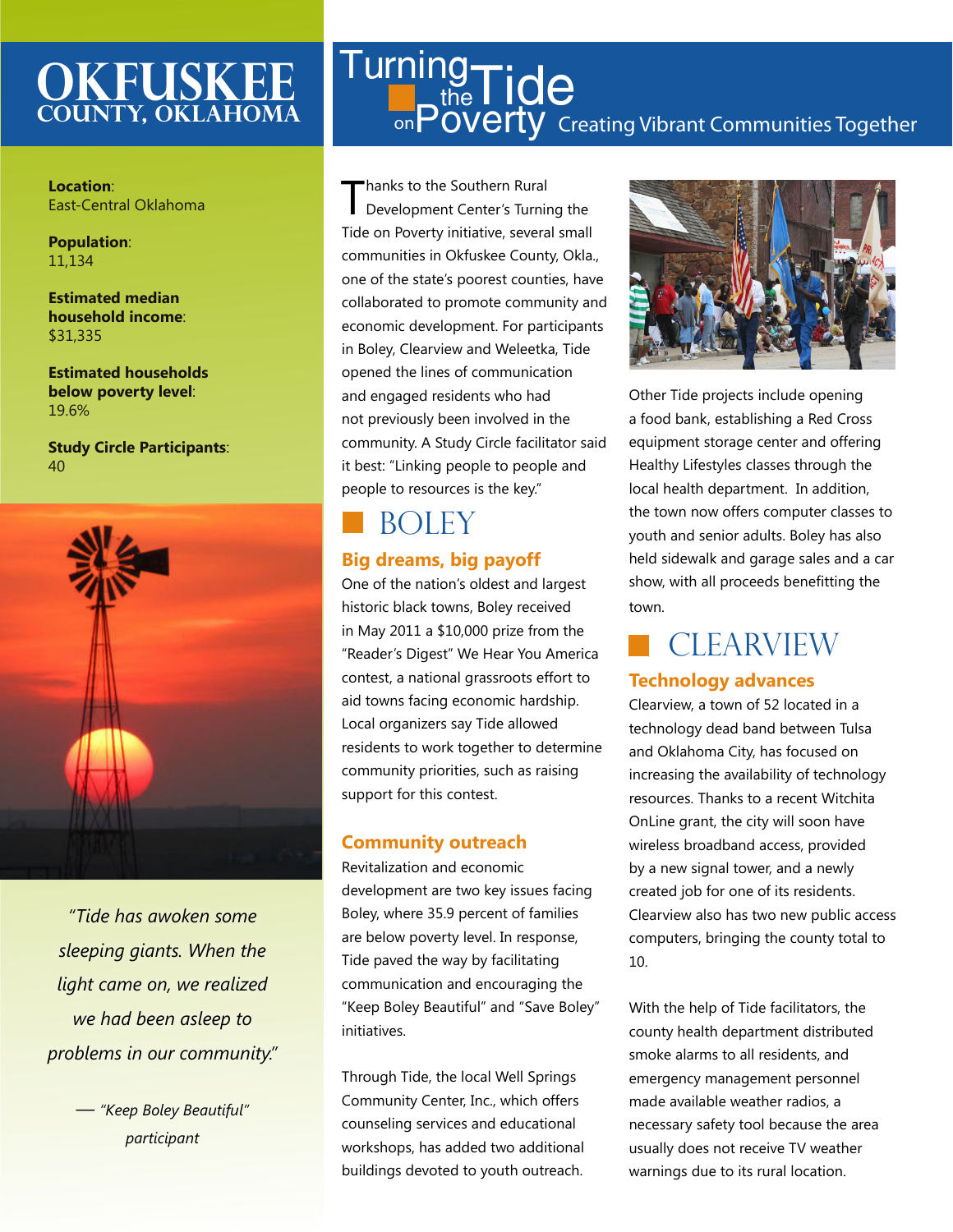### **Okfuskee County, oklahoma**

**Location**: East-Central Oklahoma

**Population**: 11,134

**Estimated median household income**: \$31,335

**Estimated households below poverty level**: 19.6%

**Study Circle Participants**: 40



*"Tide has awoken some sleeping giants. When the light came on, we realized we had been asleep to problems in our community."* 

> *— "Keep Boley Beautiful" participant*

### Creating Vibrant Communities Together **Turning**  $t_{\text{the}}^{\text{19}}$ Tide <sub>on</sub>Poverty

Thanks to the Southern Rural<br>Development Center's Turning the Tide on Poverty initiative, several small communities in Okfuskee County, Okla., one of the state's poorest counties, have collaborated to promote community and economic development. For participants in Boley, Clearview and Weleetka, Tide opened the lines of communication and engaged residents who had not previously been involved in the community. A Study Circle facilitator said it best: "Linking people to people and people to resources is the key."

# **BOLEY**

### **Big dreams, big payoff**

One of the nation's oldest and largest historic black towns, Boley received in May 2011 a \$10,000 prize from the "Reader's Digest" We Hear You America contest, a national grassroots effort to aid towns facing economic hardship. Local organizers say Tide allowed residents to work together to determine community priorities, such as raising support for this contest.

#### **Community outreach**

Revitalization and economic development are two key issues facing Boley, where 35.9 percent of families are below poverty level. In response, Tide paved the way by facilitating communication and encouraging the "Keep Boley Beautiful" and "Save Boley" initiatives.

Through Tide, the local Well Springs Community Center, Inc., which offers counseling services and educational workshops, has added two additional buildings devoted to youth outreach.



Other Tide projects include opening a food bank, establishing a Red Cross equipment storage center and offering Healthy Lifestyles classes through the local health department. In addition, the town now offers computer classes to youth and senior adults. Boley has also held sidewalk and garage sales and a car show, with all proceeds benefitting the town.

## **CLEARVIEW**

#### **Technology advances**

Clearview, a town of 52 located in a technology dead band between Tulsa and Oklahoma City, has focused on increasing the availability of technology resources. Thanks to a recent Witchita OnLine grant, the city will soon have wireless broadband access, provided by a new signal tower, and a newly created job for one of its residents. Clearview also has two new public access computers, bringing the county total to 10.

With the help of Tide facilitators, the county health department distributed smoke alarms to all residents, and emergency management personnel made available weather radios, a necessary safety tool because the area usually does not receive TV weather warnings due to its rural location.